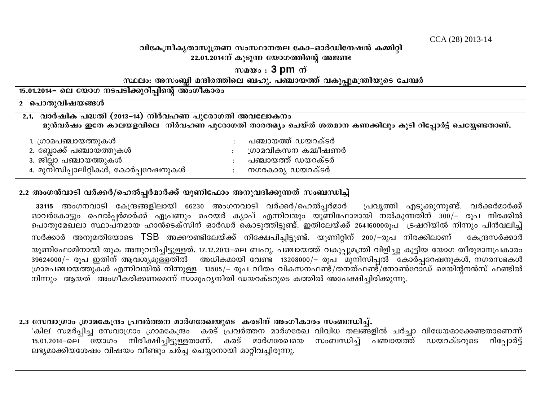CCA (28) 2013-14

### വികേന്ദ്രീകൃതാസുത്രണ സംസ്ഥാനതല കോ–ഓർഡിനേഷൻ കമ്മിറ്റി  $22.01.2014$ ന് കുടുന്ന യോഗത്തിന്റെ അജണ്ട

## $m$ <sub>2 $\omega$ </sub> : 3 pm  $\dot{\omega}$

#### സ്ഥലം: അസംബ്ലി മന്ദിരത്തിലെ ബഹു. പഞ്ചായത്ത് വകുപ്പുമന്ത്രിയുടെ ചേമ്പർ

| 15.01.2014– ലെ യോഗ നടപടിക്കുറിപ്പിന്റെ അംഗീകാരം                                                                                                                     |                                                                                     |  |  |
|---------------------------------------------------------------------------------------------------------------------------------------------------------------------|-------------------------------------------------------------------------------------|--|--|
| <u>2 പൊതുവിഷയങ്ങൾ</u>                                                                                                                                               |                                                                                     |  |  |
| <u>2.1. വാർഷിക പദ്ധതി (2013–14) നിർവഹണ പുരോഗതി അവലോകനം</u><br>മുൻവർഷം ഇതേ കാലയളവിലെ  നിർവഹണ പുരോഗതി താരതമ്യം ചെയ്ത് ശതമാന കണക്കിലും കൂടി റിപ്പോർട്ട് ചെയ്യേണ്ടതാണ്. |                                                                                     |  |  |
| 1. ഗ്രാമപഞ്ചായത്തുകൾ<br>2. ബ്ലോക്ക് പഞ്ചായത്തുകൾ<br>3. ജില്ലാ പഞ്ചായത്തുകൾ<br>4. മുനിസിപ്പാലിറ്റികൾ, കോർപ്പറേഷനുകൾ                                                  | പഞ്ചായത്ത് ഡയറക്ടർ<br>ഗ്രാമവികസന കമ്മീഷണർ<br>പഞ്ചായത്ത് ഡയറക്ടർ<br>നഗരകാര്യ ഡയറക്ടർ |  |  |

## 2.2 അംഗൻവാടി വർക്കർ/ഹെൽപ്പർമാർക്ക് യൂണിഫോം അനുവദിക്കുന്നത് സംബന്ധിച്ച്

33115 അംഗനവാടി കേന്ദ്രങ്ങളിലായി 66230 അംഗനവാടി വർക്കർ/ഹെൽപ്പർമാർ ്രപവ്യത്തി എടുക്കുന്നുണ്ട്. വർക്കർമാർക്ക് ഓവർകോട്ടും ഹെൽപ്പർമാർക്ക് ഏപ്രണും ഹെയർ കൃാപ് എന്നിവയും യൂണിഫോമായി നൽകുന്നതിന് 300/– രൂപ നിരക്കിൽ .<br>വൊതുമേഖലാ സ്ഥാപനമായ ഹാൻടെക്സിന് ഓർഡർ കൊടുത്തിട്ടുണ്ട്. ഇതിലേയ്ക്ക് 26416000രുപ<sup>്</sup> ട്രഷറിയിൽ നിന്നും പിൻവലിച്ച് സർക്കാർ അനുമതിയോടെ TSB അക്കൗണ്ടിലേയ്ക്ക് നിക്ഷേപിച്ചിട്ടുണ്ട്. യുണിറ്റിന് 200/–രുപ നിരക്കിലാണ് കേന്ദ്രസർക്കാർ യൂണിഫോമിനായി തുക അനുവദിച്ചിട്ടുള്ളത്. 17.12.2013–ലെ ബഹു. പഞ്ചായത്ത് വകുപ്പുമന്ത്രി വിളിച്ചു കൂട്ടിയ യോഗ തീരുമാനപ്രകാരം 39624000/– രൂപ ഇതിന് ആവശ്യമുള്ളതിൽ അധികമായി വേണ്ട 13208000/– രൂപ<sup>്</sup>മുനിസിപ്പൽ കോർപ്പറേഷനുകൾ, നഗരസഭകൾ ഗ്രാമപഞ്ചായത്തുകൾ എന്നിവയിൽ നിന്നുള്ള 13505/– രുപ വീതം വികസനഫണ്ട്/തനത്ഫണ്ട്/നോൺറോഡ് മെയിൻനൻസ് ഫണ്ടിൽ നിന്നും ആയത് അംഗീകരിക്കണമെന്ന് സാമുഹൃനീതി ഡയറക്ടറുടെ കത്തിൽ അപേക്ഷിച്ചിരിക്കുന്നു.

# 2.3 സേവാഗ്രാം ഗ്രാമകേന്ദ്രം പ്രവർത്തന മാർഗരേഖയുടെ കരടിന് അംഗീകാരം സംബന്ധിച്ച്.

'കില' സമർപ്പിച്ച സേവാഗ്രാം ഗ്രാമകേന്ദ്രം കരട് പ്രവർത്തന മാർഗരേഖ വിവിധ തലങ്ങളിൽ ചർച്ചാ വിധേയമാക്കേണ്ടതാണെന്ന് സംബന്ധിച്ച് പഞ്ചായത്ത് ഡയറക്ടറുടെ 15.01.2014–ലെ യോഗം നിരീക്ഷിച്ചിട്ടുള്ളതാണ്. കരട് മാർഗരേഖയെ റിപോർട് ലഭ്യമാക്കിയശേഷം വിഷയം വീണ്ടും ചർച്ച ചെയ്യാനായി മാറ്റിവച്ചിരുന്നു.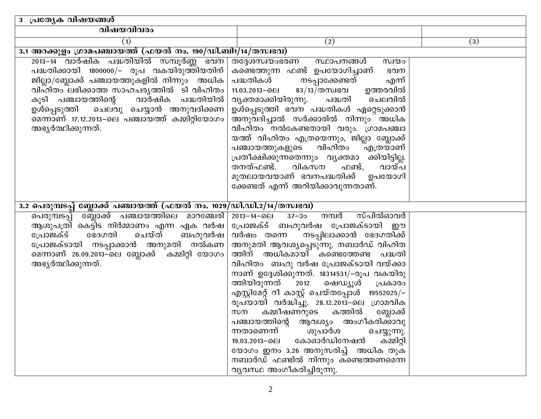| 3 പ്രത്യേ <del>ക വിഷയങ്ങൾ</del>                                                                                                                                                                                                                                                                                                            |                                                                                                                                                                                                                                                                                                                                                                                                                                                                                                                                                                                                                                                                                                                                   |     |
|--------------------------------------------------------------------------------------------------------------------------------------------------------------------------------------------------------------------------------------------------------------------------------------------------------------------------------------------|-----------------------------------------------------------------------------------------------------------------------------------------------------------------------------------------------------------------------------------------------------------------------------------------------------------------------------------------------------------------------------------------------------------------------------------------------------------------------------------------------------------------------------------------------------------------------------------------------------------------------------------------------------------------------------------------------------------------------------------|-----|
| വിഷയവിവരം                                                                                                                                                                                                                                                                                                                                  |                                                                                                                                                                                                                                                                                                                                                                                                                                                                                                                                                                                                                                                                                                                                   |     |
| (1)                                                                                                                                                                                                                                                                                                                                        | (2)                                                                                                                                                                                                                                                                                                                                                                                                                                                                                                                                                                                                                                                                                                                               | (3) |
| $3.1$ അറക്കുളം ഗ്രാമപഞ്ചായത്ത് (ഫയൽ നം. 190/ഡി.ബി1/14/തസ്വഭവ)                                                                                                                                                                                                                                                                              |                                                                                                                                                                                                                                                                                                                                                                                                                                                                                                                                                                                                                                                                                                                                   |     |
| 2013-14 വാർഷിക പദ്ധതിയിൽ സമ്പൂർണ്ണ ഭവന<br>പദ്ധതിക്കായി 1800000/– രൂപ വകയിരുത്തിയതിന്<br>ജില്ലാ/ബ്ലോക്ക് പഞ്ചായത്തുകളിൽ നിന്നും അധിക<br>വിഹിതം ലഭിക്കാത്ത സാഹചര്യത്തിൽ ടി വിഹിതം<br>കൂടി പഞ്ചായത്തിന്റെ വാർഷിക പദ്ധതിയിൽ<br>ഉൾപ്പെടുത്തി ചെലവു ചെയ്യാൻ അനുവദിക്കണ<br>മെന്നാണ് 17.12.2013-ലെ പഞ്ചായത്ത് കമ്മിറ്റിയോഗം<br>അഭ്യർത്ഥിക്കുന്നത്. | തദ്ദേശസ്വയംഭരണ<br>സ്ഥാപനങ്ങൾ<br>സ്വയം<br>കണ്ടെത്തുന്ന ഫണ്ട് ഉപയോഗിച്ചാണ്<br>ഭവന<br>പദ്ധതികൾ നടപ്പാക്കേണ്ടത്<br>എന്<br>11.03.2013−ലെ 83/13 $\overline{/}$ തസ്വഭവ<br>ഉത്തരവിൽ<br>വ്യക്തമാക്കിയിരുന്നു. പദ്ധതി<br>ചെലവിൽ<br>ഉൾപ്പെടുത്തി ഭവന പദ്ധതികൾ ഏറ്റെടുക്കാൻ<br>അനുവദിച്ചാൽ സർക്കാരിൽ നിന്നും അധിക<br>വിഹിതം നൽകേണ്ടതായി വരും. ഗ്രാമപഞ്ചാ<br>യത്ത് വിഹിതം എത്രയെന്നും, ജില്ലാ ബ്ലോക്ക്<br>പഞ്ചായത്തുകളുടെ വിഹിതം എത്രയാണ്<br>പ്രതീക്ഷിക്കുന്നതെന്നും വ്യക്തമാ ക്കിയിട്ടില്ല.<br>തനത്ഫണ്ട്.<br>വികസന<br>ഫണ്ട്,<br>വായ്പ<br>മുതലായവയാണ് ഭവനപദ്ധതിക്ക് ഉപയോഗി<br>ക്കേണ്ടത് എന്ന് അറിയിക്കാവുന്നതാണ്.                                                                                                                              |     |
| <u>3.2 പെരുമ്പടപ്പ് ബ്ലോക്ക് പഞ്ചായത്ത് (ഫയൽ നം. 1029/ഡി.ഡി.2/14/തസ്വഭവ)</u>                                                                                                                                                                                                                                                               |                                                                                                                                                                                                                                                                                                                                                                                                                                                                                                                                                                                                                                                                                                                                   |     |
| പെരുമ്പടപ്പ് ബ്ലോക്ക് പഞ്ചായത്തിലെ മാറഞ്ചേരി <br>ആശുപത്രി കെട്ടിട നിർമ്മാണം എന്ന ഏക വർഷ $\mid$<br>ചെയ്ത്<br>ഭേദഗതി<br>ബഹുവർഷ  <br>പ്രോജക്ട്<br>പ്രോജക്ടായി നടപ്പാക്കാൻ അനുമതി നൽകണ<br>മെന്നാണ് 26.09.2013–ലെ ബ്ലോക്ക് കമ്മിറ്റി യോഗം<br>അഭ്യർത്ഥിക്കുന്നത്.                                                                                | $2013 - 14 - 0.01$ $37 - 30$<br>നമ്പർ<br>സ്പിൽഓവർ<br>പ്രോജക്ട് ബഹുവർഷ പ്രോജക്ടായി ഈ<br>വർഷം തന്നെ  നടപ്പിലാക്കാൻ ഭേദഗതിക്ക്<br>അനുമതി ആവശ്യപ്പെടുന്നു. നബാർഡ് വിഹിത<br>ത്തിന് അധികമായി കണ്ടെത്തേണ്ട പദ്ധതി<br>വിഹിതം  ബഹു വർഷ പ്രോജക്ടായി വയ്ക്കാ<br>നാണ് ഉദ്ദേശിക്കുന്നത്. 18314531/–രൂപ വകയിരു<br>ത്തിയിരുന്നത് 2012<br>ഷെഡ്യൂൾ<br>പ്രകാരം<br>$\alpha$ എസ്റ്റിമേറ്റ് റീ കാസ്റ്റ് ചെയ്തപ്പോൾ 19552025/-<br>രൂപ്യായി വർദ്ധിച്ചു. 28.12.2013–ലെ ഗ്രാമവിക<br>സന കമ്മീഷണറുടെ കത്തിൽ ബ്ലോക്ക്<br>പഞ്ചായത്തിന്റെ ആവശ്യം അംഗീകരിക്കാവു<br>ശുപാർശ<br>ന്നതാണെന്ന്<br>ചെയ്യുന്നു.<br>കോഓർഡിനേഷൻ<br>കമ്മിറ്റി<br>19.03.2013−ലെ<br>യോഗം ഇനം 3.26 അനുസരിച്ച്   അധിക തുക<br>നബാർഡ് ഫണ്ടിൽ നിന്നും കണ്ടെത്തണമെന്ന<br>വ്യവസ്ഥ അംഗീകരിച്ചിരുന്നു. |     |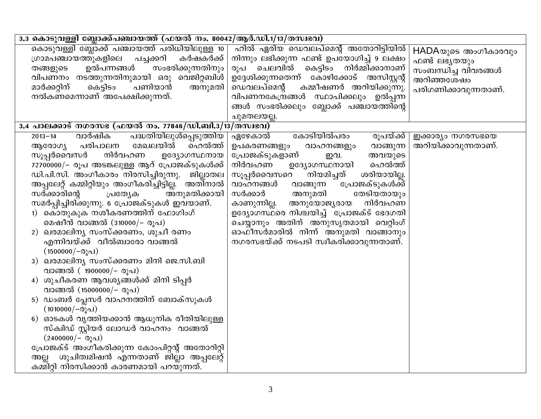| 3.3 കൊടുവള്ളി ബ്ലോക്ക്പഞ്ചായത്ത് (ഫയൽ നം. 80042/ആർ.ഡി.1/13/തസ്വഭവ)                                                                                                                                                                                                                                                                                                                                                                                                                                                                                                                                                                                                                                                                                                                                                                                                                                                                                                                                               |                                                                                                                                                                                                                                                                                                                                                                                                                                                                                             |                                                                                                    |
|------------------------------------------------------------------------------------------------------------------------------------------------------------------------------------------------------------------------------------------------------------------------------------------------------------------------------------------------------------------------------------------------------------------------------------------------------------------------------------------------------------------------------------------------------------------------------------------------------------------------------------------------------------------------------------------------------------------------------------------------------------------------------------------------------------------------------------------------------------------------------------------------------------------------------------------------------------------------------------------------------------------|---------------------------------------------------------------------------------------------------------------------------------------------------------------------------------------------------------------------------------------------------------------------------------------------------------------------------------------------------------------------------------------------------------------------------------------------------------------------------------------------|----------------------------------------------------------------------------------------------------|
| കൊടുവള്ളി ബ്ലോക്ക് പഞ്ചായത്ത് പരിധിയിലുള്ള 10<br>ഗ്രാമപഞ്ചായത്തുകളിലെ<br>പച്ചക്കറി<br>കർഷകർക്ക്<br>സംഭരിക്കുന്നതിനും<br>ഉൽപന്നങ്ങൾ<br>തങ്ങളുടെ<br>വിപണനം നടത്തുന്നതിനുമായി ഒരു വെജിറ്റബിൾ<br>പണിയാൻ<br>മാർക്കറ്റിന്<br>കെട്ടിടം<br>അനുമതി<br>നൽകണമെന്നാണ് അപേക്ഷിക്കുന്നത്.                                                                                                                                                                                                                                                                                                                                                                                                                                                                                                                                                                                                                                                                                                                                      | ഹിൽ ഏരിയ ഡെവലപ്മെന്റ് അതോറിട്ടിയിൽ<br>നിന്നും ലഭിക്കുന്ന ഫണ്ട് ഉപയോഗിച്ച് 9 ലക്ഷം<br>രൂപ ചെലവിൽ കെട്ടിടം നിർമ്മിക്കാനാണ്<br>ഉദ്ദേശിക്കുന്നതെന്ന് കോഴിക്കോട് അസിസ്റ്റന്റ്<br>ഡെവലപ്മെന്റ്<br>കമ്മീഷണർ അറിയിക്കുന്നു.<br>വിപണനകേന്ദ്രങ്ങൾ സ്ഥാപിക്കലും ഉൽപ്പന്ന<br>ങ്ങൾ സംഭരിക്കലും ബ്ലോക്ക് പഞ്ചായത്തിന്റെ<br>ചുമതലയല്ല.                                                                                                                                                                     | HADAയുടെ അംഗീകാരവും<br>ഫണ്ട് ലഭ്യതയും<br>സംബന്ധിച്ച വിവരങ്ങൾ<br>അറിഞ്ഞശേഷം<br>പരിഗണിക്കാവുന്നതാണ്. |
| $3.4$ പാലക്കാട് നഗരസഭ (ഫയൽ നം. 77846/ഡി.ബി.3/13/തസ്വഭവ)                                                                                                                                                                                                                                                                                                                                                                                                                                                                                                                                                                                                                                                                                                                                                                                                                                                                                                                                                          |                                                                                                                                                                                                                                                                                                                                                                                                                                                                                             |                                                                                                    |
| <u>പദ്ധതിയിലുൾപ്പെടുത്തിയ  </u><br>വാർഷിക<br>$2013 - 14$<br>മേഖലയിൽ<br>പരിപാലന<br>ഹെൽത്ത്<br>ആരോഗ്യ<br>നിർവഹണ<br>സൂപ്പർവൈസർ<br>ഉദ്യോഗസ്ഥനായ<br>72700000/- രൂപ അടങ്കലുള്ള ആറ് പ്രോജക്ടുകൾക്ക്<br>ഡി.പി.സി. അംഗീകാരം നിരസിച്ചിരുന്നു.<br>ജില്ലാതല<br>അപ്പലേറ്റ് കമ്മിറ്റിയും അംഗീകരിച്ചിട്ടില്ല. അതിനാൽ<br>അനുമതിക്കായി<br>സർക്കാരിന്റെ<br>പ്രത്യേക<br>സമർപ്പിച്ചിരിക്കുന്നു. 6 പ്രോജക്ടുകൾ ഇവയാണ്.<br>1) കൊതുകുക നശീകരണത്തിന് ഫോഗിംഗ്<br>മെഷീൻ വാങ്ങൽ (310000/– രൂപ)<br>2) ഖരമാലിന്യ സംസ്ക്കരണം, ശുചീ രണം<br>എന്നിവയ്ക്ക് വീൽബാരോ വാങ്ങൽ<br>$(1500000/-$ രൂപ)<br>ി ഖരമാലിന്യ സംസ്ക്കരണം മിനി ജെ.സി.ബി<br>വാങ്ങൽ (1900000/- രൂപ)<br>ശുചീകരണ ആവശ്യങ്ങൾക്ക് മിനി ടിപ്പർ<br>വാങ്ങൽ (15000000/- രൂപ)<br>5) ഡംബർ പ്ലേസർ വാഹനത്തിന് ബോക്സുകൾ<br>$(1010000/-$ രുപ)<br>6) ഓടകൾ വൃത്തിയക്കാൻ ആധുനിക രീതിയിലുള്ള<br>സ്കിഡ് സ്റ്റിയർ ലോഡർ വാഹനം  വാങ്ങൽ<br>$(2400000/-$ രൂപ)<br>പ്രോജക്ട് അംഗീകരിക്കുന്ന കോംപിറ്റന്റ് അതോറിറ്റി<br>ശുചിത്വമിഷൻ എന്നതാണ് ജില്ലാ അപ്പലേറ്റ്<br>അല്ല<br>കമ്മിറ്റി നിരസിക്കാൻ കാരണമായി പറയുന്നത്. | കോടിയിൽപരം<br>ഏഴേകാൽ<br>രൂപയ്ക്ക്<br>ഉപകരണങ്ങളും<br>വാങ്ങുന്ന<br>വാഹനങ്ങളും<br>പ്രോജക്ടുകളാണ്<br>അവയുടെ<br>ഇവ.<br>നിർവഹണ<br>ഹെൽത്ത്<br>ഉദ്യോഗസ്ഥനായി<br>സൂപ്പർവൈസറെ<br>നിയമിച്ചത്<br>ശരിയായില്ല.<br>പോജക്ടുകൾക്ക്<br>വാഹനങ്ങൾ<br>വാങ്ങുന്ന<br>തേടിയതായും<br>സർക്കാർ<br>അനുമതി<br>നിർവഹണ<br>കാണുന്നില്ല.<br>അനുയോജ്യരായ<br>ഉദ്യോഗസ്ഥരെ നിശ്ചയിച്ച് പ്രോജക്ട് ഭേദഗതി<br>ചെയ്യാനും അതിന് അനുസൃതമായി വെറ്റിംഗ്<br>ഓഫീസർമാരിൽ നിന്ന് അനുമതി വാങ്ങാനും<br>നഗരസഭയ്ക്ക് നടപടി സ്വീകരിക്കാവുന്നതാണ്. | ഇക്കാര്യം നഗരസഭയെ<br>അറിയിക്കാവുന്നതാണ്.                                                           |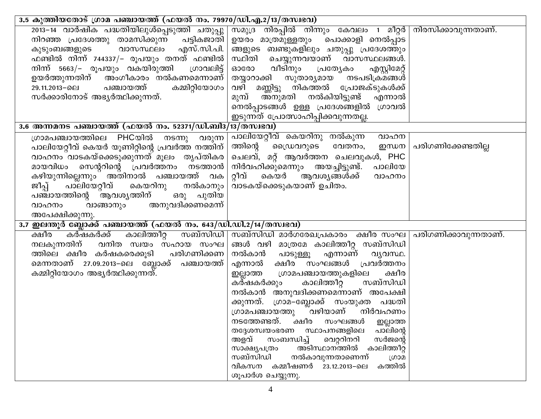| $\overline{13.5}$ കുത്തിയതോട് ഗ്രാമ പഞ്ചായത്ത് (ഫയൽ നം. 79970/ഡി.എ.2/13/തസ്വഭവ)                                                                                                                                                                                                                                                                                                                                            |                                                                                                                                                                                                                                                                                                                                                                                                                                                                                                                                                                                                                                                                                                          |                    |
|----------------------------------------------------------------------------------------------------------------------------------------------------------------------------------------------------------------------------------------------------------------------------------------------------------------------------------------------------------------------------------------------------------------------------|----------------------------------------------------------------------------------------------------------------------------------------------------------------------------------------------------------------------------------------------------------------------------------------------------------------------------------------------------------------------------------------------------------------------------------------------------------------------------------------------------------------------------------------------------------------------------------------------------------------------------------------------------------------------------------------------------------|--------------------|
| 2013–14 വാർഷിക പദ്ധതിയിലുൾപ്പെടുത്തി ചതുപ്പു സമൂദ്ര നിരപ്പിൽ നിന്നും കേവലം 1 മീറ്റർ നിരസിക്കാവുന്നതാണ്.<br>നിറഞ്ഞ പ്രദേശത്തു താമസിക്കുന്ന<br>പട്ടികജാതി  <br>കുടുംബങ്ങളുടെ  വാസസ്ഥലം എസ്.സി.പി.<br>ഫണ്ടിൽ നിന്ന് 744337/– രൂപയും തനത് ഫണ്ടിൽ $\mid$<br>നിന്ന് 5663/– രൂപയും വകയിരുത്തി  ശാവലിട്ട്<br>ഉയർത്തുന്നതിന് അംഗീകാരം നൽകണമെന്നാണ്<br>കമ്മിറ്റിയോഗം<br>29.11.2013–ലെ പഞ്ചായത്ത്<br>സർക്കാരിനോട് അഭ്യർത്ഥിക്കുന്നത്. | ഉയരം മാത്രമുള്ളതും പൊക്കാളി നെൽപ്പാട<br>ങ്ങളുടെ ബണ്ടുകളിലും ചതുപ്പു പ്രദേശത്തും<br>സ്ഥിതി ചെയ്യുന്നവയാണ് വാസസ്ഥലങ്ങൾ.<br>ഓരോ വീടിനും പ്രത്യേകം<br>എസ്റ്റിമേറ്റ്<br>തയ്യാറാക്കി സുതാര്യമായ നടപടിക്രമങ്ങൾ<br>വഴി മണ്ണിട്ടു നികത്തൽ പ്രോജക്ടുകൾക്ക്<br>മുമ്പ് അ്നുമതി നൽകിയിട്ടുണ്ട്<br>എന്നാൽ<br>നെൽപ്പാടങ്ങൾ ഉള്ള പ്രദേശങ്ങളിൽ ഗ്രാവൽ<br>ഇടുന്നത് പ്രോത്സാഹിപ്പിക്കവുന്നതല്ല.                                                                                                                                                                                                                                                                                                                             |                    |
| <u>3.6 അന്നമനട പഞ്ചായത്ത് (ഫയൽ നം. 52371/ഡി.ബി3/13/തസ്വഭവ)</u>                                                                                                                                                                                                                                                                                                                                                             |                                                                                                                                                                                                                                                                                                                                                                                                                                                                                                                                                                                                                                                                                                          |                    |
| ഗ്രാമപഞ്ചായത്തിലെ PHCയിൽ നടന്നു വരുന്ന<br>പാലിയേറ്റീവ് കെയർ യൂണിറ്റിന്റെ പ്രവർത്ത നത്തിന്<br>വാഹനം വാടകയ്ക്കെടുക്കുന്നത് മൂലം തൃപ്തികര<br>മായവിധം സെന്ററിന്റെ പ്രവർത്തനം നടത്താൻ<br>കഴിയുന്നില്ലെന്നും അതിനാൽ പഞ്ചായത്ത് വക<br>ജീപ്പ് പാലിയേറ്റീവ് കെയറിനു നൽകാനും $\mid$<br>പഞ്ചായത്തിന്റെ ആവശ്യത്തിന് ഒരു പുതിയ<br>അനുവദിക്കണമെന്ന്<br>വാഹനം<br>വാങ്ങാനും<br>അപേക്ഷിക്കുന്നു.                                            | പാലിയേറ്റീവ് കെയറിനു നൽകുന്ന<br>വാഹന<br>ത്തിന്റെ<br>ഡൈവറുടെ<br>ഇന്ധന<br>വേതനം,<br>ചെലവ്, മറ്റ് ആവർത്തന ചെലവുകൾ, PHC<br>നിർവഹിക്കുമെന്നും അയച്ചിട്ടുണ്ട്.<br>പാലിയേ<br>റ്റീവ് കെയർ ആവശ്യങ്ങൾക്ക്<br>വാഹനം<br>വാടകയ്ക്കെടുകയാണ് ഉചിതം.                                                                                                                                                                                                                                                                                                                                                                                                                                                                     | പരിഗണിക്കേണ്ടതില്ല |
| ഇലന്തൂർ ബ്ലോക്ക് പഞ്ചായത്ത് (ഫയൽ നം. 643/ഡി.ഡി.2/14/തസ്വഭവ)<br>3,7                                                                                                                                                                                                                                                                                                                                                         |                                                                                                                                                                                                                                                                                                                                                                                                                                                                                                                                                                                                                                                                                                          |                    |
| <u>കര്ഷകരക്ക് കാലിത്തീറ്റ</u><br>ക്ഷീര<br>നലകുന്നതിന് വനിത സ്വയം സഹായ സംഘ $\mid$<br>ത്തിലെ ക്ഷീര കർഷകരെക്കൂടി  പരിഗണിക്കണ<br>മെന്നതാണ് 27.09.2013–ലെ ബ്ലോക്ക് പഞ്ചായത്ത്<br>കമ്മിറ്റിയോഗം അഭ്യർത്ഥിക്കുന്നത്.                                                                                                                                                                                                              | _ സബ്സിഡി   സബ്സിഡി_മാർഗരേഖപ്രകാരം _ ക്ഷീര_സംഘ   പരിഗണിക്കാവുന്നതാണ്.<br>ങ്ങൾ വഴി മാത്രമേ കാലിത്തീറ്റ സബ്സിഡി<br>നൽകാൻ പാടുള്ളൂ<br>എന്നാണ്<br>വ്യവസ്ഥ.<br>ക്ഷീര സംഘങ്ങൾ പ്രവർത്തനം<br>എന്നാൽ<br>ശ്രാമപഞ്ചായത്തുകളിലെ<br>ക്ഷീര<br>ഇല്ലാത്ത<br>സബ്സിഡി<br>കര്ഷകർക്കും<br>കാലിത്തീറ്റ<br>നൽകാൻ അനുവദിക്കണമെന്നാണ് അപേക്ഷി<br>ക്കുന്നത്. ഗ്രാമ–ബ്ലോക്ക് സംയുക്ത പദ്ധതി<br>ഗ്രാമപഞ്ചായത്തു ്വഴിയാണ് നിർവഹണം<br>നടത്തേണ്ടത്. ക്ഷീര സംഘങ്ങൾ ഇല്ലാത്ത<br>പാലിന്റെ<br>സ്ഥാപനങ്ങളിലെ<br>തദ്ദേശസ്വയംഭരണ<br>അളവ്<br>സംബന്ധിച്ച്<br>വെറ്ററിനറി<br>സർജന്റെ<br>അടിസ്ഥാനത്തിൽ<br>കാലിത്തീറ്റ<br>സാക്ഷ്യപത്രം<br>സബ്സിഡി<br>നൽകാവുന്നതാണെന്ന്<br>ഗ്രാമ<br>വികസന<br>കമ്മീഷണർ 23.12.2013–ലെ<br>കത്തിൽ<br>ശൂപാർശ ചെയ്യുന്നു. |                    |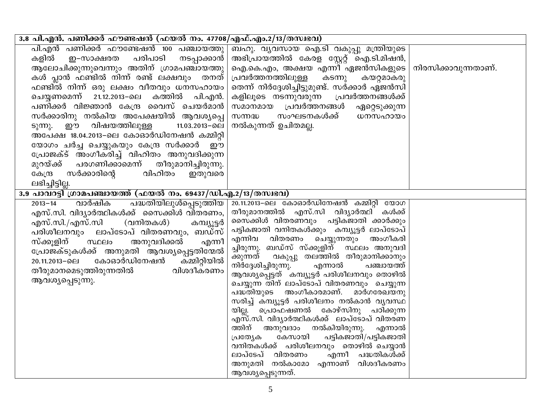| 3.8 പി.എൻ. പണിക്കർ ഫൗണ്ടഷൻ (ഫയൽ നം. 47708/എഫ്.എം.2/13/തസ്വഭവ)                                                                                                                                                                                                                                                                                                                                                                                                                                                                                                                                                                                     |                                                                                                                                                                                                                                                                                                                                                                                                                                                                                                                                                                                                                                                                                                                                                                                                                                                                 |                     |
|---------------------------------------------------------------------------------------------------------------------------------------------------------------------------------------------------------------------------------------------------------------------------------------------------------------------------------------------------------------------------------------------------------------------------------------------------------------------------------------------------------------------------------------------------------------------------------------------------------------------------------------------------|-----------------------------------------------------------------------------------------------------------------------------------------------------------------------------------------------------------------------------------------------------------------------------------------------------------------------------------------------------------------------------------------------------------------------------------------------------------------------------------------------------------------------------------------------------------------------------------------------------------------------------------------------------------------------------------------------------------------------------------------------------------------------------------------------------------------------------------------------------------------|---------------------|
| പി.എൻ പണിക്കർ ഫൗണ്ടേഷൻ 100 പഞ്ചായത്തു<br>പരിപാടി<br>കളിൽ<br>ഇ-സാക്ഷരത<br>നടപ്പാക്കാൻ<br>ആലോചിക്കുന്നുവെന്നും അതിന് ഗ്രാമപഞ്ചായത്തു<br>കൾ പ്ലാൻ ഫണ്ടിൽ നിന്ന് രണ്ട് ലക്ഷവും  തനത്<br>ഫണ്ടിൽ നിന്ന് ഒരു ലക്ഷം വീതവും ധനസഹായം<br>ചെയ്യണമെന്ന് 21.12.2013–ലെ കത്തിൽ പി.എൻ.<br>പണിക്കർ വിജ്ഞാൻ കേന്ദ്ര വൈസ് ചെയർമാൻ<br>സർക്കാരിനു നൽകിയ അപേക്ഷയിൽ ആവശ്യപ്പെ<br>ടുന്നു. ഈ വിഷയത്തിലുള്ള<br>11.03.2013−ലെ<br>അപേക്ഷ 18.04.2013-ലെ കോഓർഡിനേഷൻ കമ്മിറ്റി<br>യോഗം ചർച്ച ചെയ്യുകയും കേന്ദ്ര സർക്കാർ<br>ഈ<br>പ്രോജക്ട് അംഗീകരിച്ച് വിഹിതം അനുവദിക്കുന്ന<br>പരഗണിക്കാമെന്ന്<br>മുറയ്ക്ക്<br>തീരുമാനിച്ചിരുന്നു.<br>സർക്കാരിന്റെ<br>വിഹിതം<br>കേന്ദ്ര<br>ഇതുവരെ | ബഹു. വ്യവസായ ഐ.ടി വകുപ്പു മന്ത്രിയുടെ<br>അഭിപ്രായത്തിൽ കേരള സ്റ്റേറ്റ് ഐ.ടി.മിഷൻ,<br>ഐ.കെ.എം, അക്ഷയ എന്നീ ഏജൻസികളുടെ  <br>പ്രവർത്തനത്തിലുള്ള<br>കടന്നു<br>കയറ്റമാകരു<br>തെന്ന് നിർദ്ദേശിച്ചിട്ടുമുണ്ട്. സർക്കാർ ഏജൻസി<br>കളിലൂടെ നടന്നുവരുന്ന പ്രവർത്തനങ്ങൾക്ക്<br>സമാനമായ പ്രവർത്തനങ്ങൾ<br>ഏറ്റെടുക്കുന്ന<br>സംഘടനകൾക്ക്<br>സന്നദ്ധ<br>ധനസഹായം<br>നൽകുന്നത് ഉചിതമല്ല.                                                                                                                                                                                                                                                                                                                                                                                                                                                                                          | നിരസിക്കാവുന്നതാണ്. |
| ലഭിച്ചിട്ടില്ല.<br>3.9 പാവറട്ടി ഗ്രാമപഞ്ചായത്ത് (ഫയൽ നം. 69437/ഡി.എ.2/13/തസ്വഭവ)                                                                                                                                                                                                                                                                                                                                                                                                                                                                                                                                                                  |                                                                                                                                                                                                                                                                                                                                                                                                                                                                                                                                                                                                                                                                                                                                                                                                                                                                 |                     |
| വാർഷിക<br><u>പദ്ധതിയിലുൾപ്പെടുത്തിയ  </u><br>$2013 - 14$<br>എസ്.സി. വിദ്യാർത്ഥികൾക്ക്  സൈക്കിൾ വിതരണം,<br>എസ്.സി./എസ്.സി<br>(വനിതകൾ)<br>കമ്പ്യൂട്ടർ<br>പരിശീലനവും ലാപ്ടോപ് വിതരണവും, ബഡ്സ്<br>സ്ക്കൂളിന്<br>അനുവദിക്കൽ<br>സ്ഥലം<br>എന്നീ<br>പ്രോജക്ടുകൾക്ക് അനുമതി ആവശ്യപ്പെട്ടതിന്മേൽ<br>കോഓർഡിനേഷൻ<br>കമ്മിറ്റിയിൽ<br>20.11.2013-⊙ല<br>തീരുമാനമെടുത്തിരുന്നതിൽ<br>വിശദീകരണം<br>ആവശ്യപ്പെടുന്നു.                                                                                                                                                                                                                                                 | 20.11.2013-ലെ കോഓർഡിനേഷൻ കമ്മിറ്റി യോഗ<br>തീരുമാനത്തിൽ എസ്.സി വിദ്യാർത്ഥി കൾക്ക്<br>സൈക്കിൾ വിതരണവും പട്ടികജാതി ക്കാർക്കും<br>പട്ടികജാതി വനിതകൾക്കും കമ്പ്യൂട്ടർ ലാപ്ടോപ്<br>എന്നിവ വിതരണം ചെയ്യുന്നതും അംഗീകരി<br>ച്ചിരുന്നു. ബഡ്സ് സ്ക്കൂളിന് സ്ഥലം അനുവദി<br>ക്കുന്നത് വകുപ്പു തലത്തിൽ തീരുമാനിക്കാനും<br>നിർദ്ദേശിച്ചിരുന്നു.<br>പഞ്ചായത്ത്<br>എന്നാൽ<br>ആവശ്യപ്പെട്ടത് കമ്പ്യൂട്ടർ പരിശീലനവും തൊഴിൽ<br>ചെയ്യുന്ന തിന് ലാപ്ടോപ് വിതരണവും ചെയ്യുന്ന<br>പദ്ധതിയുടെ അംഗീകാരമാണ്. മാർഗരേഖയനു<br>സരിച്ച് കമ്പ്യൂട്ടർ പരിശീലനം നൽകാൻ വ്യവസ്ഥ<br>യില്ല. പ്രൊഫഷണൽ കോഴ്സിനു പഠിക്കുന്ന<br>എസ്.സി. വിദ്യാർത്ഥികൾക്ക്  ലാപ്ടോപ് വിതരണ<br>ത്തിന് അനുവദാം നൽകിയിരുന്നു. എന്നാൽ<br>കേസായി<br>പട്ടികജാതി/പട്ടികജാതി<br>പ്രത്യേക<br>വനിതകൾക്ക് പരിശീലനവും തൊഴിൽ ചെയ്യാൻ<br>വിതരണം<br>എന്നീ പദ്ധതികൾക്ക്<br>ലാപ്ടേപ്<br>അനുമതി നൽകാമോ എന്നാണ് വിശദീകരണം<br>ആവശ്യപ്പെടുന്നത്. |                     |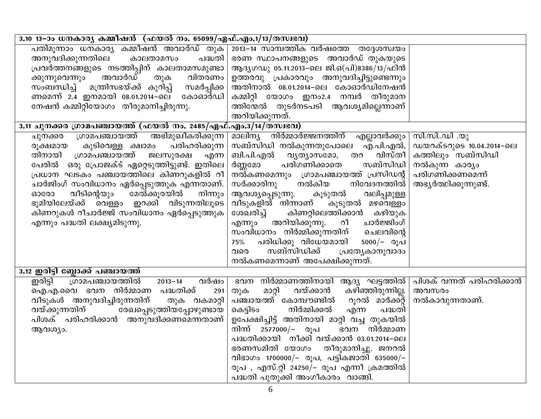| 3.10 13–ാം ധനകാര്യ കമ്മീഷൻ (ഫയൽ നം. 65099/ഏഫ്.എം.1/13/തസ്വഭവ)                                                                                                                                                                                                                                                                                                                                                                           |                                                                                                                                                                                                                                                                                                                                                                                                                                                                                                                                                |                                                                                                              |
|-----------------------------------------------------------------------------------------------------------------------------------------------------------------------------------------------------------------------------------------------------------------------------------------------------------------------------------------------------------------------------------------------------------------------------------------|------------------------------------------------------------------------------------------------------------------------------------------------------------------------------------------------------------------------------------------------------------------------------------------------------------------------------------------------------------------------------------------------------------------------------------------------------------------------------------------------------------------------------------------------|--------------------------------------------------------------------------------------------------------------|
| പതിമൂന്നാം ധനകാര്യ കമ്മീഷൻ അവാർഡ് തുക<br>അനുവദിക്കുന്നതിലെ<br>കാലതാമസം<br>പദ്ധതി<br>പ്രവർത്തനങ്ങളുടെ നടത്തിപ്പിന് കാലതാമസമുണ്ടാ<br>ക്കുന്നുവെന്നും  അവാർഡ്  തുക  വിതരണം<br>സംബന്ധിച്ച് മന്ത്രിസഭയ്ക്ക് കുറിപ്പ്<br>സമർപ്പിക്ക<br>ണമെന്ന് 2.4 ഇനമായി 08.01.2014–ലെ കോഓർഡി<br>നേഷൻ കമ്മിറ്റിയോഗം തീരുമാനിച്ചിരുന്നു.<br>3.11 ചുനക്കര ഗ്രാമപഞ്ചായത്ത് (ഫയൽ നം. 2485/ഏഫ്.എം.3/14/തസ്വഭവ)<br>അഭിമുഖീകരിക്കുന്ന<br>ശ്രാമപഞ്ചായത്ത്<br>ചുനക്കര | 2013-14 സാമ്പത്തിക വർഷത്തെ തദ്ദേശസ്വയം<br>ഭരണ സ്ഥാപനങ്ങളുടെ അവാർഡ് തുകയുടെ<br>ആദൃഗഡു 05.11.2013–ലെ ജി.ഒ(പി)8386/13/ഫിൻ<br>ഉത്തരവു പ്രകാരവും അനുവദിച്ചിട്ടുണ്ടെന്നും<br>അതിനാൽ 08.01.2014–ലെ കോഓർഡിനേഷൻ<br>കമ്മിറ്റി യോഗം ഇനം2.4 നമ്പർ തീരുമാന<br>ത്തിന്മേൽ തുടർനടപടി ആവശ്യമില്ലെന്നാണ്<br>അറിയിക്കുന്നത്.<br>മാലിന്യ നിർമ്മാർജ്ജനത്തിന് എല്ലാവർക്കും                                                                                                                                                                                           | സി.സിഡി .യു                                                                                                  |
| പരിഹരിക്കുന്ന<br>കുടിവെള്ള ക്ഷാമം<br>രുക്ഷമായ<br>തിനായി ഗ്രാമപഞ്ചായത്ത്<br>ജലസുരക്ഷ<br>എന്ന<br>പേരിൽ  ഒരു പ്രോജക്ട് ഏറ്റെടുത്തിട്ടുണ്ട്. ഇതിലെ<br>പ്രധാന ഘടകം പഞ്ചായത്തിലെ കിണറുകളിൽ റീ<br>ചാർജിംഗ് സംവിധാനം ഏർപ്പെടുത്തുക എന്നതാണ്.<br>വീടിന്റെയും<br>മേൽക്കൂരയിൽ<br>നിന്നും<br>ഓരോ<br>ഭൂമിയിലേയ്ക്ക് വെള്ളം ഇറക്കി വിടുന്നതിലൂടെ<br>കിണറുകൾ റീചാർജ്ജ് സംവിധാനം ഏർപ്പെടുത്തുക<br>എന്നും പദ്ധതി ലക്ഷ്യമിടുന്നു.                         | സബ്സിഡി നൽകുന്നതുപോലെ എ.പി.എൽ,  <br>വിസ്തീ  <br>ബി.പി.എൽ വ്യത്യാസമോ,<br>തറ<br>പരിഗണിക്കാതെ<br>സബ്സിഡി  <br>ർണ്ണമോ<br>നൽ്കണമെന്നും ഗ്രാമപഞ്ചായത്ത് പ്രസിഡന്റ്<br>സർക്കാരിനു നൽകിയ<br>നിവേദനത്തിൽ<br>വലിപ്പമുള്ള<br>ആവശ്യപ്പെടുന്നു.<br>കൂടുതൽ<br>വീടുകളിൽ നിന്നാണ്<br>കൂടുതൽ മഴവെള്ളം<br>കിണറ്റിലെത്തിക്കാൻ കഴിയുക<br>ശേഖരിച്ച്<br>അറിയിക്കുന്നു. റീ<br>ചാർജ്ജിംഗ്<br>എന്നും<br>സംവിധാനം നിർമ്മിക്കുന്നതിന് ചെലവിന്റെ<br>പരിധിക്കു വിധേയമായി<br>$5000/-$ രുപ്<br>75%<br>സബ്സിഡിക്ക്<br>പ്രത്യേകാനുവാദം<br>വരെ<br>നൽകണമെന്നാണ് അപേക്ഷിക്കുന്നത്. | ഡയറക്ടറുടെ 10.04.2014–ലെ<br>കത്തിലും സബ്സിഡി<br>നൽകുന്ന കാര്യം<br>പരിഗണിക്കണമെന്ന്<br>അഭ്യർത്ഥിക്കുന്നുണ്ട്. |
| 3.12 ഇരിട്ടി ബ്ലോക്ക് പഞ്ചായത്ത്                                                                                                                                                                                                                                                                                                                                                                                                        |                                                                                                                                                                                                                                                                                                                                                                                                                                                                                                                                                |                                                                                                              |
| ഗ്രാമപഞ്ചായത്തിൽ<br>ഇരിട്ടി<br>വർഷം<br>$2013 - 14$<br>ഐ.എ.വൈ ഭവന നിർമ്മാണ പദ്ധതിക്ക്<br>291<br>വീടുകൾ അനുവദിച്ചിരുന്നതിന്<br>തുക വകമാറ്റി<br>വയ്ക്കുന്നതിന് രേഖപ്പെടുത്തിയപ്പോഴുണ്ടായ<br>പിശക് പരിഹരിക്കാൻ അനുവദിക്കണമെന്നതാണ്<br>ആവശ്യം.                                                                                                                                                                                               | ഭവന നിർമ്മാണത്തിനായി ആദ്യ ഘട്ടത്തിൽ   പിശക് വന്നത് പരിഹരിക്കാൻ<br>വയ്ക്കാൻ<br>കഴിഞ്ഞിരുന്നില്ല.  <br>മാറ്റി<br>തുക<br>പഞ്ചായത്ത് കോമ്പൗണ്ടിൽ<br>റൂറൽ മാർക്ക്റ്റ്<br>നിർമ്മിക്കൽ<br>കെട്ടിടം<br>എന്ന<br>പദ്ധതി<br>ഉപേക്ഷിച്ചിട്ട് അതിനായി മാറ്റി വച്ച തുകയിൽ<br>നിന്ന് 2577000/- രൂപ<br>ഭവന നിർമ്മാണ<br>പദ്ധതിക്കായി നീക്കി വയ്ക്കാൻ 03.01.2014–ലെ<br>ഭരണസമിതി യോഗം തീരുമാനിച്ചു. ജനറൽ<br>വിഭാഗം 1700000/- രൂപ, പട്ടികജാതി 635000/-<br>രൂപ , എസ്.റ്റി 24250/– രൂപ എന്നീ ക്രമത്തിൽ<br>പദ്ധതി പുതുക്കി അംഗീകാരം  വാങ്ങി.                          | അവസരം<br>നൽകാവുന്നതാണ്.                                                                                      |